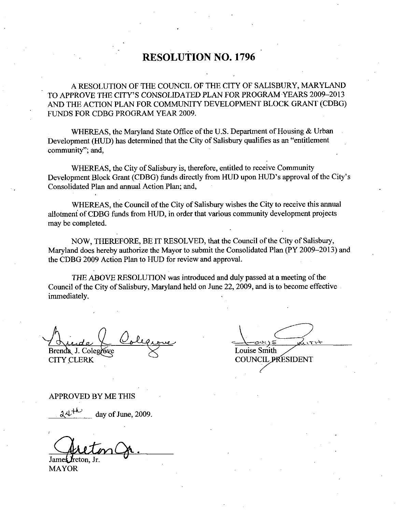# RESOLUTION NO. 1796

A RESOLUTION OF THE COUNCIL OF THE CITY OF SALISBURY, MARYLAND TO APPROVE THE CITY'S CONSOLIDATED PLAN FOR PROGRAM YEARS 2009-2013 AND THE ACTION PLAN FOR COMMUNITY DEVELOPMENT BLOCK GRANT (CDBG) FUNDS FOR CDBG PROGRAM YEAR 2009

WHEREAS, the Maryland State Office of the U.S. Department of Housing  $&$  Urban Development (HUD) has determined that the City of Salisbury qualifies as an "entitlement community"; and,

WHEREAS, the City of Salisbury is, therefore, entitled to receive Community community"; and,<br>
WHEREAS, the City of Salisbury is, therefore, entitled to receive Community<br>
Development Block Grant (CDBG) funds directly from HUD upon HUD's approval of the City's<br>
Consolidated Plan and annual Action P Consolidated Plan and annual Action Plan; and,

WHEREAS, the Council of the City of Salisbury wishes the City to receive this annual allotment of CDBG funds from HUD, in order that various community development projects may be completed

NOW, THEREFORE, BE IT RESOLVED, that the Council of the City of Salisbury, Maryland does hereby authorize the Mayor to submit the Consolidated Plan (PY 2009–2013) and the CDBG 2009 Action Plan to HUD for review and approval

THE ABOVE RESOLUTION was introduced and duly passed at <sup>a</sup> meeting of the Council of the City of Salisbury, Maryland held on June 22, 2009, and is to become effective immediately

Brenda J. Colegrove **CITY CLERK** 

Louise Smith

**COUNCIL PRESIDENT** 

APPROVED BY ME THIS

day of June, 2009.

Jame**s J**reton Jr

MAYOR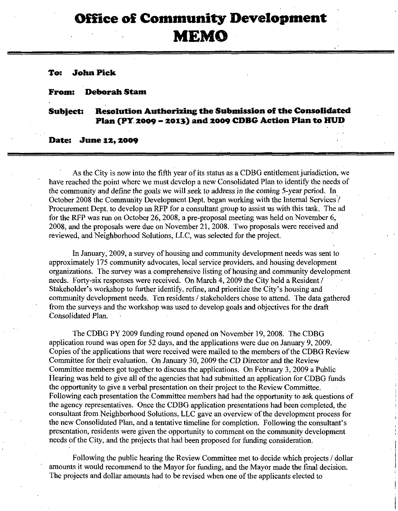# Office of Community Development MEMO

### To: John Pick

#### From: Deborah Stam

## Subject: Resolution Authorizing the Submission of the Consolidated Plan (PY 2009 - 2013) and 2009 CDBG Action Plan to HUD

#### Date: June 12, 2009

As the City is now into the fifth year of its status as a CDBG entitlement jurisdiction, we have reached the point where we must develop anew Consolidated Plan to identify the needs of As the City is now into the fifth year of its status as a CDBG entitlement jurisdiction<br>have reached the point where we must develop a new Consolidated Plan to identify the need<br>the community and define the goals we will s October 2008 the Community Development Dept. began working with the Internal Services / Procurement Dept. to develop an RFP for a consultant group to assist us with this task. The ad<br>for the RFP was run on October 26, 2008, a pre-proposal meeting was held on November 6,<br>2008 and the groupsels was due on Novem 2008, and the proposals were due on November 21, 2008. Two proposals were received and reviewed, and Neighborhood Solutions, LLC, was selected for the project.

In January, 2009, a survey of housing and community development needs was sent to approximately 175 community advocates, local service providers, and housing development approximately 175 community advocates, local service providers, and housing development organizations. The survey was a comprehensive listing of housing and community development needs. Forty-six responses were received. O needs. Forty-six responses were received. On March 4, 2009 the City held a Resident /<br>Stakeholder's workshop to further identify, refine, and prioritize the City's housing and 2008, and the<br>reviewed, and<br>In Jan<br>approximatel<br>organizations<br>needs. Forty-<br>Stakeholder's<br>community d<br>from the surv community development needs. Ten residents / stakeholders chose to attend. The data gathered from the surveys and the workshop was used to develop goals and objectives for the draft Consolidated Plan

The CDBG PY 2009 funding round opened on November 19, 2008. The CDBG application round was open for  $52$  days, and the applications were due on January 9, 2009. Copies of the applications that were received were mailed to the members of the CDBG Review Committee for their evaluation. On January 30, 2009 the CD Director and the Review Committee members got together to discuss the applications. On February 3, 2009 a Public Hearing was held to give all of the agencies that had submitted an application for CDBG funds the opportunity to give a verbal presentation on their project to the Review Committee. Following each presentation the Committee members had had the opportunity to ask questions of the agency representatives. Once the CDBG application presentations had been completed, the consultant from Neighborhood Solutions, LLC gave an overview of the development process for the new Consolidated Plan, and a tentative presentation, residents were given the opportunity to comment on the community development S the applications. On February 3, 2009 a Public<br>s that had submitted an application for CDBG funds<br>n on their project to the Review Committee.<br>e members had had the opportunity to ask questions<br>G application presentations needs of the City, and the projects that had been proposed for funding consideration.

Following the public hearing the Review Committee met to decide which projects / dollar amounts it would recommend to the Mayor for funding, and the Mayor made the final decision. The projects and dollar amounts had to be revised when one of the applicants elected to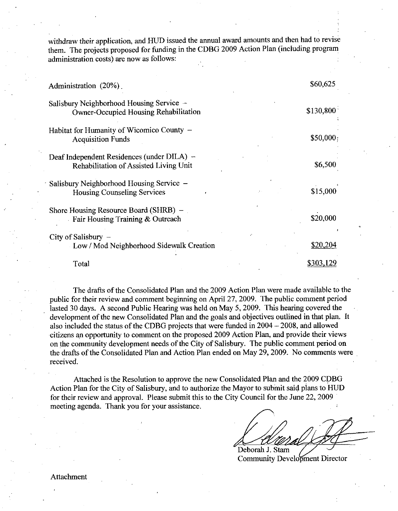withdraw their application, and HUD issued the annual award amounts and then had to revise them. The projects proposed for funding in the CDBG 2009 Action Plan (including program administration costs) are now as follows:

| Administration (20%)                                                                     | \$60,625  |
|------------------------------------------------------------------------------------------|-----------|
| Salisbury Neighborhood Housing Service -<br><b>Owner-Occupied Housing Rehabilitation</b> | \$130,800 |
| Habitat for Humanity of Wicomico County -<br><b>Acquisition Funds</b>                    | \$50,000; |
| Deaf Independent Residences (under DILA) –<br>Rehabilitation of Assisted Living Unit     | \$6,500   |
| Salisbury Neighborhood Housing Service –<br><b>Housing Counseling Services</b>           | \$15,000  |
| Shore Housing Resource Board (SHRB) –<br>Fair Housing Training & Outreach                | \$20,000  |
| City of Salisbury $-$<br>Low / Mod Neighborhood Sidewalk Creation                        | \$20,204  |
| Total                                                                                    |           |

The drafts of the Consolidated Plan and the 2009 Action Plan were made available to the public for their review and comment beginning on April 27, 2009. The public comment period lasted 30 days. A second Public Hearing was held on May 5, 2009. This hearing covered the development of the new Consolidated Plan and the goals and objectives outlined in that plan. It also included the status of the CDBG projects that were funded in  $2004 - 2008$ , and allowed citizens an opportunity to comment on the proposed 2009 Action Plan, and provide their views on the community development needs of the City of Salisbury. The public comment period on the drafts of the Consolidated Plan and Action Plan ended on May 29, 2009. No comments were received

Attached is the Resolution to approve the new Consolidated Plan and the 2009 CDBG Action Plan for the City of Salisbury, and to authorize the Mayor to submit said plans to HUD for their review and approval. Please submit this to the City Council for the June 22, 2009 meeting agenda. Thank you for your assistance.

Deborah J. Stam

**Community Development Director** 

Attachment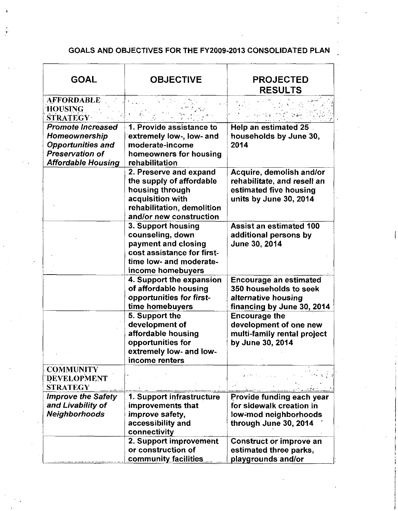## GOALS AND OBJECTIVES FOR THE FY2009-2013 CONSOLIDATED PLAN

| <b>GOAL</b>                                                                                                           | <b>OBJECTIVE</b>                                                                                                                                   | <b>PROJECTED</b><br><b>RESULTS</b>                                                                                                     |
|-----------------------------------------------------------------------------------------------------------------------|----------------------------------------------------------------------------------------------------------------------------------------------------|----------------------------------------------------------------------------------------------------------------------------------------|
| <b>AFFORDABLE</b><br><b>HOUSING</b><br><b>STRATEGY</b>                                                                |                                                                                                                                                    |                                                                                                                                        |
| <b>Promote Increased</b><br>Homeownership<br><b>Opportunities and</b><br>Preservation of<br><b>Affordable Housing</b> | 1. Provide assistance to<br>extremely low-, low- and<br>moderate-income<br>homeowners for housing<br>rehabilitation                                | Help an estimated 25<br>households by June 30,<br>2014                                                                                 |
|                                                                                                                       | 2. Preserve and expand<br>the supply of affordable<br>housing through<br>acquisition with<br>rehabilitation, demolition<br>and/or new construction | Acquire, demolish and/or<br>rehabilitate, and resell an<br>estimated five housing<br>units by June 30, 2014                            |
|                                                                                                                       | 3. Support housing<br>counseling, down<br>payment and closing<br>cost assistance for first-<br>time low- and moderate-<br>income homebuyers        | <b>Assist an estimated 100</b><br>additional persons by<br>June 30, 2014                                                               |
|                                                                                                                       | 4. Support the expansion<br>of affordable housing<br>opportunities for first-<br>time homebuyers                                                   | <b>Encourage an estimated</b><br>350 households to seek<br>alternative housing<br>financing by June 30, 2014                           |
|                                                                                                                       | 5. Support the<br>development of<br>affordable housing<br>opportunities for<br>extremely low- and low-<br>income renters                           | <b>Encourage the</b><br>development of one new<br>multi-family rental project<br>by June 30, 2014                                      |
| <b>COMMUNITY</b><br><b>DEVELOPMENT</b><br><b>STRATEGY:</b>                                                            |                                                                                                                                                    | $\mathbf{z}$ is the pair.<br>الأرياني والتعاد                                                                                          |
| <b>Improve the Safety</b><br>and Livability of<br><b>Neighborhoods</b>                                                | 1. Support infrastructure<br>improvements that<br>improve safety,<br>accessibility and<br>connectivity                                             | كالممارس وترافع ووالمحاسبات<br>Provide funding each year<br>for sidewalk creation in<br>low-mod neighborhoods<br>through June 30, 2014 |
|                                                                                                                       | 2. Support improvement<br>or construction of<br>community facilities                                                                               | <b>Construct or improve an</b><br>estimated three parks,<br>playgrounds and/or                                                         |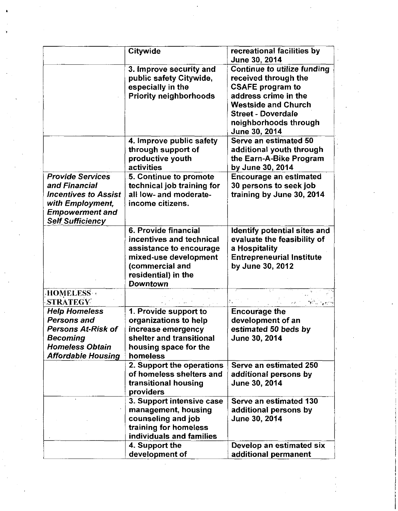|                                                                                                                                                  | Citywide                                                                                                                                                          | recreational facilities by                                                                                                                           |
|--------------------------------------------------------------------------------------------------------------------------------------------------|-------------------------------------------------------------------------------------------------------------------------------------------------------------------|------------------------------------------------------------------------------------------------------------------------------------------------------|
|                                                                                                                                                  |                                                                                                                                                                   | June 30, 2014                                                                                                                                        |
|                                                                                                                                                  | 3. Improve security and<br>public safety Citywide,                                                                                                                | <b>Continue to utilize funding</b><br>received through the                                                                                           |
|                                                                                                                                                  | especially in the<br><b>Priority neighborhoods</b>                                                                                                                | <b>CSAFE program to</b><br>address crime in the<br><b>Westside and Church</b><br><b>Street - Doverdale</b><br>neighborhoods through<br>June 30, 2014 |
|                                                                                                                                                  | 4. Improve public safety<br>through support of<br>productive youth<br>activities                                                                                  | Serve an estimated 50<br>additional youth through<br>the Earn-A-Bike Program<br>by June 30, 2014                                                     |
| <b>Provide Services</b><br>and Financial<br><b>Incentives to Assist</b><br>with Employment,<br><b>Empowerment and</b><br><b>Self Sufficiency</b> | 5. Continue to promote<br>technical job training for<br>all low- and moderate-<br>income citizens.                                                                | <b>Encourage an estimated</b><br>30 persons to seek job<br>training by June 30, 2014                                                                 |
|                                                                                                                                                  | 6. Provide financial<br>incentives and technical<br>assistance to encourage<br>mixed-use development<br>(commercial and<br>residential) in the<br><b>Downtown</b> | Identify potential sites and<br>evaluate the feasibility of<br>a Hospitality<br><b>Entrepreneurial Institute</b><br>by June 30, 2012                 |
| HOMELESS +<br><b>STRATEGY</b>                                                                                                                    |                                                                                                                                                                   |                                                                                                                                                      |
| <b>Help Homeless</b><br><b>Persons and</b><br>Persons At-Risk of<br>Becoming<br><b>Homeless Obtain</b><br><b>Affordable Housing</b>              | 1. Provide support to<br>organizations to help<br>increase emergency<br>shelter and transitional<br>housing space for the<br>homeless                             | <b>Encourage the</b><br>development of an<br>estimated 50 beds by<br><b>June 30, 2014</b>                                                            |
|                                                                                                                                                  | 2. Support the operations<br>of homeless shelters and<br>transitional housing<br>providers                                                                        | Serve an estimated 250<br>additional persons by<br>June 30, 2014                                                                                     |
|                                                                                                                                                  | 3. Support intensive case<br>management, housing<br>counseling and job<br>training for homeless<br>individuals and families                                       | Serve an estimated 130<br>additional persons by<br>June 30, 2014                                                                                     |
|                                                                                                                                                  | 4. Support the<br>development of                                                                                                                                  | Develop an estimated six<br>additional permanent                                                                                                     |

 $\begin{pmatrix} \mathbf{v} & \mathbf{v} \\ \mathbf{v} & \mathbf{v} \\ \mathbf{v} & \mathbf{v} \end{pmatrix}$ 

 $\ddot{\cdot}$ 

 $\sim$  $\frac{1}{2}$ 

 $\hat{\mathcal{A}}$ 

 $\hat{\mathcal{A}}_i$